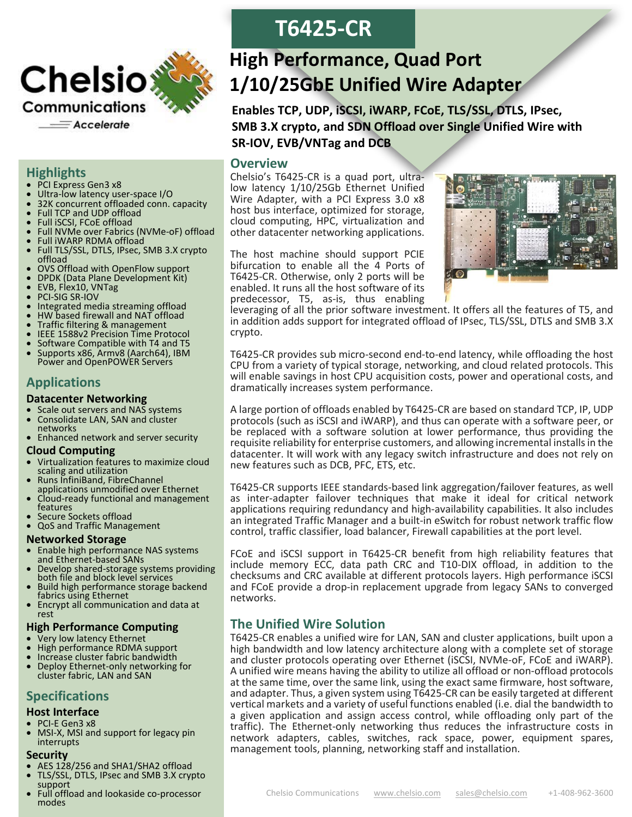

#### **Highlights**

- PCI Express Gen3 x8
- Ultra-low latency user-space I/O
- 32K concurrent offloaded conn. capacity
- Full TCP and UDP offload
- Full iSCSI, FCoE offload
- Full NVMe over Fabrics (NVMe-oF) offload
- Full iWARP RDMA offload
- Full TLS/SSL, DTLS, IPsec, SMB 3.X crypto offload
- OVS Offload with OpenFlow support
- DPDK (Data Plane Development Kit)<br>• EVB Flex10 VNTag
- EVB, Flex10, VNTag
- PCI-SIG SR-IOV
- Integrated media streaming offload
- HW based firewall and NAT offload
- Traffic filtering & management
- IEEE 1588v2 Precision Time Protocol
- Software Compatible with T4 and T5
- Supports x86, Armv8 (Aarch64), IBM Power and OpenPOWER Servers

# **Applications**

#### **Datacenter Networking**

- Scale out servers and NAS systems
- Consolidate LAN, SAN and cluster networks
- Enhanced network and server security

#### **Cloud Computing**

- Virtualization features to maximize cloud scaling and utilization
- Runs InfiniBand, FibreChannel applications unmodified over Ethernet
- Cloud-ready functional and management features
- Secure Sockets offload
- QoS and Traffic Management

#### **Networked Storage**

- Enable high performance NAS systems and Ethernet-based SANs
- Develop shared-storage systems providing both file and block level services
- Build high performance storage backend fabrics using Ethernet
- Encrypt all communication and data at rest

#### **High Performance Computing**

- Very low latency Ethernet
- High performance RDMA support
- Increase cluster fabric bandwidth
- Deploy Ethernet-only networking for cluster fabric, LAN and SAN

# **Specifications**

#### **Host Interface**

- PCI-E Gen3 x8
- MSI-X, MSI and support for legacy pin interrupts

#### **Security**

- AES 128/256 and SHA1/SHA2 offload
- TLS/SSL, DTLS, IPsec and SMB 3.X crypto support
- Full offload and lookaside co-processor modes

# **T6425-CR**

# **High Performance, Quad Port 1/10/25GbE Unified Wire Adapter**

**Enables TCP, UDP, iSCSI, iWARP, FCoE, TLS/SSL, DTLS, IPsec, SMB 3.X crypto, and SDN Offload over Single Unified Wire with SR-IOV, EVB/VNTag and DCB**

# **Overview**

Chelsio's T6425-CR is a quad port, ultralow latency 1/10/25Gb Ethernet Unified Wire Adapter, with a PCI Express 3.0 x8 host bus interface, optimized for storage, cloud computing, HPC, virtualization and other datacenter networking applications.

The host machine should support PCIE bifurcation to enable all the 4 Ports of T6425-CR. Otherwise, only 2 ports will be enabled. It runs all the host software of its predecessor, T5, as-is, thus enabling



leveraging of all the prior software investment. It offers all the features of T5, and in addition adds support for integrated offload of IPsec, TLS/SSL, DTLS and SMB 3.X crypto.

T6425-CR provides sub micro-second end-to-end latency, while offloading the host CPU from a variety of typical storage, networking, and cloud related protocols. This will enable savings in host CPU acquisition costs, power and operational costs, and dramatically increases system performance.

A large portion of offloads enabled by T6425-CR are based on standard TCP, IP, UDP protocols (such as iSCSI and iWARP), and thus can operate with a software peer, or be replaced with a software solution at lower performance, thus providing the requisite reliability for enterprise customers, and allowing incremental installsin the datacenter. It will work with any legacy switch infrastructure and does not rely on new features such as DCB, PFC, ETS, etc.

T6425-CR supports IEEE standards-based link aggregation/failover features, as well as inter-adapter failover techniques that make it ideal for critical network applications requiring redundancy and high-availability capabilities. It also includes an integrated Traffic Manager and a built-in eSwitch for robust network traffic flow control, traffic classifier, load balancer, Firewall capabilities at the port level.

FCoE and iSCSI support in T6425-CR benefit from high reliability features that include memory ECC, data path CRC and T10-DIX offload, in addition to the checksums and CRC available at different protocols layers. High performance iSCSI and FCoE provide a drop-in replacement upgrade from legacy SANs to converged networks.

# **The Unified Wire Solution**

T6425-CR enables a unified wire for LAN, SAN and cluster applications, built upon a high bandwidth and low latency architecture along with a complete set of storage and cluster protocols operating over Ethernet (iSCSI, NVMe-oF, FCoE and iWARP). A unified wire means having the ability to utilize all offload or non-offload protocols at the same time, over the same link, using the exact same firmware, host software, and adapter. Thus, a given system using T6425-CR can be easily targeted at different vertical markets and a variety of useful functions enabled (i.e. dial the bandwidth to a given application and assign access control, while offloading only part of the traffic). The Ethernet-only networking thus reduces the infrastructure costs in network adapters, cables, switches, rack space, power, equipment spares, management tools, planning, networking staff and installation.